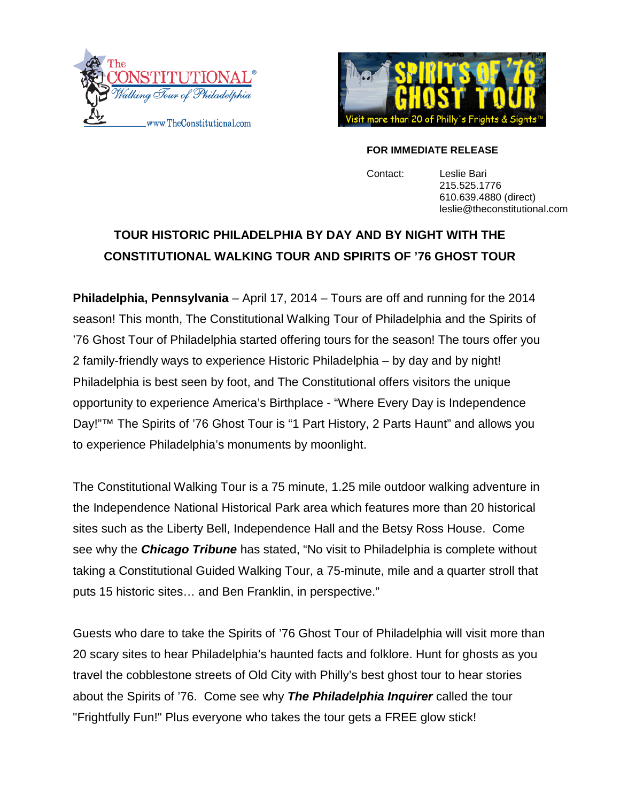



### **FOR IMMEDIATE RELEASE**

Contact: Leslie Bari 215.525.1776 610.639.4880 (direct) leslie@theconstitutional.com

# **TOUR HISTORIC PHILADELPHIA BY DAY AND BY NIGHT WITH THE CONSTITUTIONAL WALKING TOUR AND SPIRITS OF '76 GHOST TOUR**

**Philadelphia, Pennsylvania** – April 17, 2014 – Tours are off and r[unning for the 2014](mailto:jon@catavault.com)  season! This month, The Constitutional Walking Tour of Philadelphia and the Spirits of '76 Ghost Tour of Philadelphia started offering tours for the season! The tours offer you 2 family-friendly ways to experience Historic Philadelphia – by day and by night! Philadelphia is best seen by foot, and The Constitutional offers visitors the unique opportunity to experience America's Birthplace - "Where Every Day is Independence Day!"™ The Spirits of '76 Ghost Tour is "1 Part History, 2 Parts Haunt" and allows you to experience Philadelphia's monuments by moonlight.

The Constitutional Walking Tour is a 75 minute, 1.25 mile outdoor walking adventure in the Independence National Historical Park area which features more than 20 historical sites such as the Liberty Bell, Independence Hall and the Betsy Ross House. Come see why the *Chicago Tribune* has stated, "No visit to Philadelphia is complete without taking a Constitutional Guided Walking Tour, a 75-minute, mile and a quarter stroll that puts 15 historic sites… and Ben Franklin, in perspective."

Guests who dare to take the Spirits of '76 Ghost Tour of Philadelphia will visit more than 20 scary sites to hear Philadelphia's haunted facts and folklore. Hunt for ghosts as you travel the cobblestone streets of Old City with Philly's best ghost tour to hear stories about the Spirits of '76. Come see why *The Philadelphia Inquirer* called the tour "Frightfully Fun!" Plus everyone who takes the tour gets a FREE glow stick!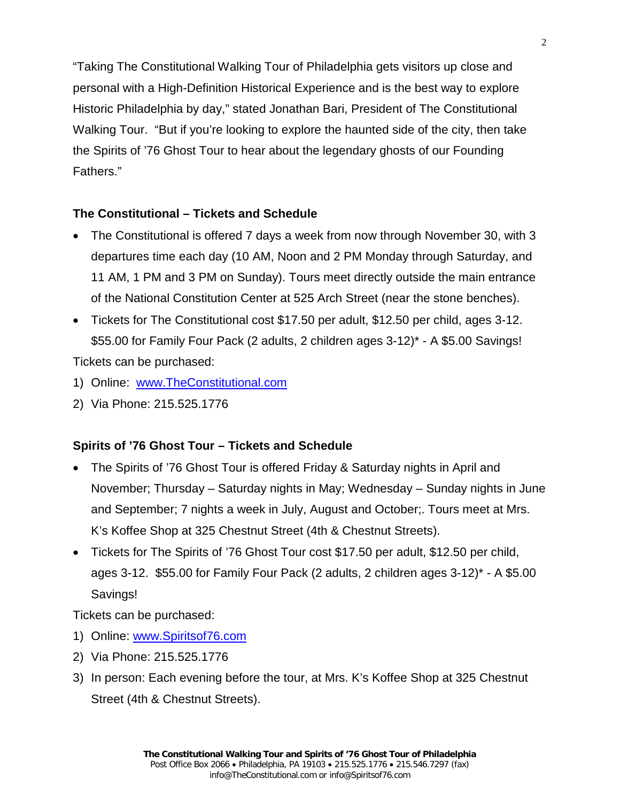"Taking The Constitutional Walking Tour of Philadelphia gets visitors up close and personal with a High-Definition Historical Experience and is the best way to explore Historic Philadelphia by day," stated Jonathan Bari, President of The Constitutional Walking Tour. "But if you're looking to explore the haunted side of the city, then take the Spirits of '76 Ghost Tour to hear about the legendary ghosts of our Founding Fathers."

### **The Constitutional – Tickets and Schedule**

- The Constitutional is offered 7 days a week from now through November 30, with 3 departures time each day (10 AM, Noon and 2 PM Monday through Saturday, and 11 AM, 1 PM and 3 PM on Sunday). Tours meet directly outside the main entrance of the National Constitution Center at 525 Arch Street (near the stone benches).
- Tickets for The Constitutional cost \$17.50 per adult, \$12.50 per child, ages 3-12. \$55.00 for Family Four Pack (2 adults, 2 children ages 3-12)\* - A \$5.00 Savings! Tickets can be purchased:

- 1) Online: [www.TheConstitutional.com](http://www.theconstitutional.com/)
- 2) Via Phone: 215.525.1776

## **Spirits of '76 Ghost Tour – Tickets and Schedule**

- The Spirits of '76 Ghost Tour is offered Friday & Saturday nights in April and November; Thursday – Saturday nights in May; Wednesday – Sunday nights in June and September; 7 nights a week in July, August and October;. Tours meet at Mrs. K's Koffee Shop at 325 Chestnut Street (4th & Chestnut Streets).
- Tickets for The Spirits of '76 Ghost Tour cost \$17.50 per adult, \$12.50 per child, ages 3-12. \$55.00 for Family Four Pack (2 adults, 2 children ages 3-12)\* - A \$5.00 Savings!

Tickets can be purchased:

- 1) Online: [www.Spiritsof76.com](http://www.spiritsof76.com/)
- 2) Via Phone: 215.525.1776
- 3) In person: Each evening before the tour, at Mrs. K's Koffee Shop at 325 Chestnut Street (4th & Chestnut Streets).